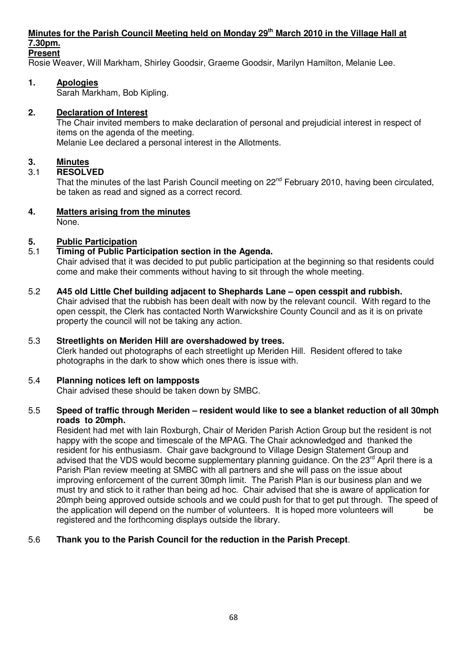## **Minutes for the Parish Council Meeting held on Monday 29th March 2010 in the Village Hall at 7.30pm.**

## **Present**

Rosie Weaver, Will Markham, Shirley Goodsir, Graeme Goodsir, Marilyn Hamilton, Melanie Lee.

## **1. Apologies**

Sarah Markham, Bob Kipling.

#### **2. Declaration of Interest**

The Chair invited members to make declaration of personal and prejudicial interest in respect of items on the agenda of the meeting. Melanie Lee declared a personal interest in the Allotments.

#### **3. Minutes**

#### 3.1 **RESOLVED**

That the minutes of the last Parish Council meeting on 22<sup>nd</sup> February 2010, having been circulated, be taken as read and signed as a correct record.

## **4. Matters arising from the minutes**

None.

#### **5. Public Participation**

#### 5.1 **Timing of Public Participation section in the Agenda.**

 Chair advised that it was decided to put public participation at the beginning so that residents could come and make their comments without having to sit through the whole meeting.

5.2 **A45 old Little Chef building adjacent to Shephards Lane – open cesspit and rubbish.**  Chair advised that the rubbish has been dealt with now by the relevant council. With regard to the open cesspit, the Clerk has contacted North Warwickshire County Council and as it is on private property the council will not be taking any action.

#### 5.3 **Streetlights on Meriden Hill are overshadowed by trees.**

 Clerk handed out photographs of each streetlight up Meriden Hill. Resident offered to take photographs in the dark to show which ones there is issue with.

#### 5.4 **Planning notices left on lampposts**

Chair advised these should be taken down by SMBC.

#### 5.5 **Speed of traffic through Meriden – resident would like to see a blanket reduction of all 30mph roads to 20mph.**

Resident had met with Iain Roxburgh, Chair of Meriden Parish Action Group but the resident is not happy with the scope and timescale of the MPAG. The Chair acknowledged and thanked the resident for his enthusiasm. Chair gave background to Village Design Statement Group and advised that the VDS would become supplementary planning quidance. On the 23<sup>rd</sup> April there is a Parish Plan review meeting at SMBC with all partners and she will pass on the issue about improving enforcement of the current 30mph limit. The Parish Plan is our business plan and we must try and stick to it rather than being ad hoc. Chair advised that she is aware of application for 20mph being approved outside schools and we could push for that to get put through. The speed of the application will depend on the number of volunteers. It is hoped more volunteers will be registered and the forthcoming displays outside the library.

## 5.6 **Thank you to the Parish Council for the reduction in the Parish Precept**.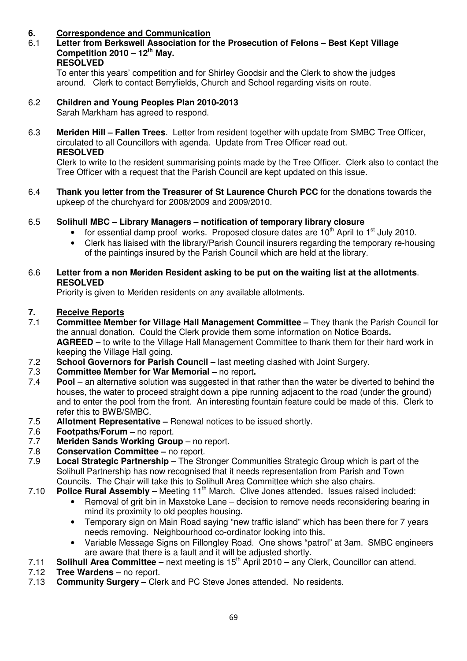## **6. Correspondence and Communication**

#### 6.1 **Letter from Berkswell Association for the Prosecution of Felons – Best Kept Village Competition 2010 – 12th May. RESOLVED**

To enter this years' competition and for Shirley Goodsir and the Clerk to show the judges around. Clerk to contact Berryfields, Church and School regarding visits on route.

- 6.2 **Children and Young Peoples Plan 2010-2013** Sarah Markham has agreed to respond.
- 6.3 **Meriden Hill Fallen Trees**. Letter from resident together with update from SMBC Tree Officer, circulated to all Councillors with agenda. Update from Tree Officer read out. **RESOLVED**

 Clerk to write to the resident summarising points made by the Tree Officer. Clerk also to contact the Tree Officer with a request that the Parish Council are kept updated on this issue.

- 6.4 **Thank you letter from the Treasurer of St Laurence Church PCC** for the donations towards the upkeep of the churchyard for 2008/2009 and 2009/2010.
- 6.5 **Solihull MBC Library Managers notification of temporary library closure**
	- for essential damp proof works. Proposed closure dates are  $10<sup>th</sup>$  April to  $1<sup>st</sup>$  July 2010.
	- Clerk has liaised with the library/Parish Council insurers regarding the temporary re-housing of the paintings insured by the Parish Council which are held at the library.

#### 6.6 **Letter from a non Meriden Resident asking to be put on the waiting list at the allotments**. **RESOLVED**

Priority is given to Meriden residents on any available allotments.

# **7.** Receive Reports<br>7.1 Committee Memb

- **Committee Member for Village Hall Management Committee –** They thank the Parish Council for the annual donation. Could the Clerk provide them some information on Notice Boards**. AGREED** – to write to the Village Hall Management Committee to thank them for their hard work in keeping the Village Hall going.
- 7.2 **School Governors for Parish Council** last meeting clashed with Joint Surgery.
- 7.3 **Committee Member for War Memorial** no report.<br>7.4 **Pool** an alternative solution was suggested in that
- **Pool** an alternative solution was suggested in that rather than the water be diverted to behind the houses, the water to proceed straight down a pipe running adjacent to the road (under the ground) and to enter the pool from the front. An interesting fountain feature could be made of this. Clerk to refer this to BWB/SMBC.
- 7.5 **Allotment Representative** Renewal notices to be issued shortly.
- 7.6 **Footpaths/Forum** no report.
- 7.7 **Meriden Sands Working Group** no report.
- 7.8 **Conservation Committee** no report.
- 7.9 **Local Strategic Partnership** The Stronger Communities Strategic Group which is part of the Solihull Partnership has now recognised that it needs representation from Parish and Town
- Councils. The Chair will take this to Solihull Area Committee which she also chairs.<br>7.10 **Police Rural Assembly** Meeting 11<sup>th</sup> March. Clive Jones attended. Issues raised **Police Rural Assembly** – Meeting 11<sup>th</sup> March. Clive Jones attended. Issues raised included:
	- Removal of grit bin in Maxstoke Lane decision to remove needs reconsidering bearing in mind its proximity to old peoples housing.
	- Temporary sign on Main Road saying "new traffic island" which has been there for 7 years needs removing. Neighbourhood co-ordinator looking into this.
	- Variable Message Signs on Fillongley Road. One shows "patrol" at 3am. SMBC engineers are aware that there is a fault and it will be adjusted shortly.
- 7.11 **Solihull Area Committee** next meeting is 15<sup>th</sup> April 2010 any Clerk, Councillor can attend.<br>7.12 **Tree Wardens –** no report.
- **Tree Wardens no report.**
- 7.13 **Community Surgery** Clerk and PC Steve Jones attended. No residents.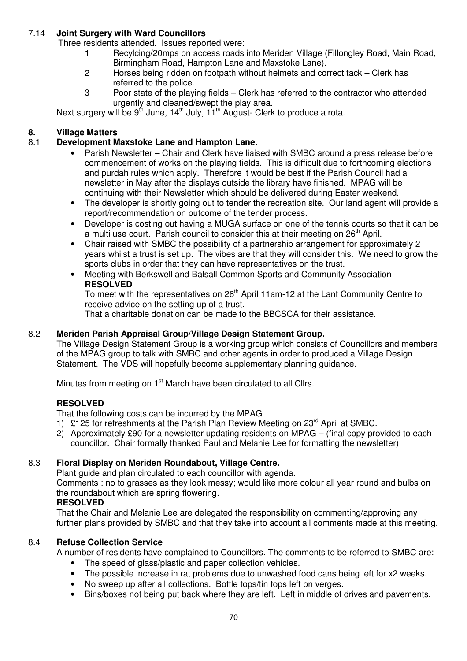## 7.14 **Joint Surgery with Ward Councillors**

Three residents attended. Issues reported were:

- 1 Recylcing/20mps on access roads into Meriden Village (Fillongley Road, Main Road, Birmingham Road, Hampton Lane and Maxstoke Lane).
- 2 Horses being ridden on footpath without helmets and correct tack Clerk has referred to the police.
- 3 Poor state of the playing fields Clerk has referred to the contractor who attended urgently and cleaned/swept the play area.

Next surgery will be  $9<sup>th</sup>$  June,  $14<sup>th</sup>$  July,  $11<sup>th</sup>$  August- Clerk to produce a rota.

# **8. Village Matters**<br>**8.1 Development M**

## 8.1 **Development Maxstoke Lane and Hampton Lane.**

- Parish Newsletter Chair and Clerk have liaised with SMBC around a press release before commencement of works on the playing fields. This is difficult due to forthcoming elections and purdah rules which apply. Therefore it would be best if the Parish Council had a newsletter in May after the displays outside the library have finished. MPAG will be continuing with their Newsletter which should be delivered during Easter weekend.
- The developer is shortly going out to tender the recreation site. Our land agent will provide a report/recommendation on outcome of the tender process.
- Developer is costing out having a MUGA surface on one of the tennis courts so that it can be a multi use court. Parish council to consider this at their meeting on  $26<sup>th</sup>$  April.
- Chair raised with SMBC the possibility of a partnership arrangement for approximately 2 years whilst a trust is set up. The vibes are that they will consider this. We need to grow the sports clubs in order that they can have representatives on the trust.
- Meeting with Berkswell and Balsall Common Sports and Community Association **RESOLVED**

To meet with the representatives on 26<sup>th</sup> April 11am-12 at the Lant Community Centre to receive advice on the setting up of a trust.

That a charitable donation can be made to the BBCSCA for their assistance.

## 8.2 **Meriden Parish Appraisal Group/Village Design Statement Group.**

 The Village Design Statement Group is a working group which consists of Councillors and members of the MPAG group to talk with SMBC and other agents in order to produced a Village Design Statement. The VDS will hopefully become supplementary planning guidance.

Minutes from meeting on 1<sup>st</sup> March have been circulated to all Cllrs.

## **RESOLVED**

That the following costs can be incurred by the MPAG

- 1) £125 for refreshments at the Parish Plan Review Meeting on  $23<sup>rd</sup>$  April at SMBC.
- 2) Approximately £90 for a newsletter updating residents on MPAG (final copy provided to each councillor. Chair formally thanked Paul and Melanie Lee for formatting the newsletter)

## 8.3 **Floral Display on Meriden Roundabout, Village Centre.**

Plant guide and plan circulated to each councillor with agenda.

 Comments : no to grasses as they look messy; would like more colour all year round and bulbs on the roundabout which are spring flowering.

## **RESOLVED**

 That the Chair and Melanie Lee are delegated the responsibility on commenting/approving any further plans provided by SMBC and that they take into account all comments made at this meeting.

## 8.4 **Refuse Collection Service**

A number of residents have complained to Councillors. The comments to be referred to SMBC are:

- The speed of glass/plastic and paper collection vehicles.
- The possible increase in rat problems due to unwashed food cans being left for x2 weeks.
- No sweep up after all collections. Bottle tops/tin tops left on verges.
- Bins/boxes not being put back where they are left. Left in middle of drives and pavements.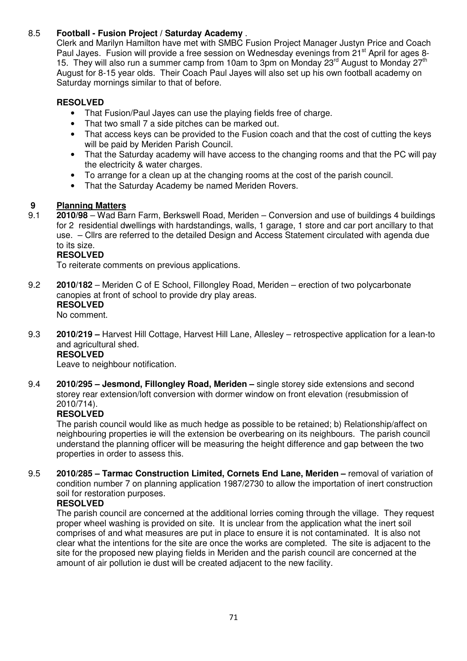## 8.5 **Football - Fusion Project / Saturday Academy** .

Clerk and Marilyn Hamilton have met with SMBC Fusion Project Manager Justyn Price and Coach Paul Jayes. Fusion will provide a free session on Wednesday evenings from 21<sup>st</sup> April for ages 8-15. They will also run a summer camp from 10am to 3pm on Monday  $23<sup>rd</sup>$  August to Monday  $27<sup>th</sup>$  August for 8-15 year olds. Their Coach Paul Jayes will also set up his own football academy on Saturday mornings similar to that of before.

## **RESOLVED**

- That Fusion/Paul Jayes can use the playing fields free of charge.
- That two small 7 a side pitches can be marked out.
- That access keys can be provided to the Fusion coach and that the cost of cutting the keys will be paid by Meriden Parish Council.
- That the Saturday academy will have access to the changing rooms and that the PC will pay the electricity & water charges.
- To arrange for a clean up at the changing rooms at the cost of the parish council.
- That the Saturday Academy be named Meriden Rovers.

## **9 Planning Matters**

9.1 **2010/98** – Wad Barn Farm, Berkswell Road, Meriden – Conversion and use of buildings 4 buildings for 2 residential dwellings with hardstandings, walls, 1 garage, 1 store and car port ancillary to that use. – Cllrs are referred to the detailed Design and Access Statement circulated with agenda due to its size.

## **RESOLVED**

To reiterate comments on previous applications.

9.2 **2010/182** – Meriden C of E School, Fillongley Road, Meriden – erection of two polycarbonate canopies at front of school to provide dry play areas.  **RESOLVED** 

No comment.

9.3 **2010/219 –** Harvest Hill Cottage, Harvest Hill Lane, Allesley – retrospective application for a lean-to and agricultural shed.

# **RESOLVED**

Leave to neighbour notification.

9.4 **2010/295 – Jesmond, Fillongley Road, Meriden –** single storey side extensions and second storey rear extension/loft conversion with dormer window on front elevation (resubmission of 2010/714).

## **RESOLVED**

The parish council would like as much hedge as possible to be retained; b) Relationship/affect on neighbouring properties ie will the extension be overbearing on its neighbours. The parish council understand the planning officer will be measuring the height difference and gap between the two properties in order to assess this.

9.5 **2010/285 – Tarmac Construction Limited, Cornets End Lane, Meriden –** removal of variation of condition number 7 on planning application 1987/2730 to allow the importation of inert construction soil for restoration purposes.

## **RESOLVED**

The parish council are concerned at the additional lorries coming through the village. They request proper wheel washing is provided on site. It is unclear from the application what the inert soil comprises of and what measures are put in place to ensure it is not contaminated. It is also not clear what the intentions for the site are once the works are completed. The site is adjacent to the site for the proposed new playing fields in Meriden and the parish council are concerned at the amount of air pollution ie dust will be created adjacent to the new facility.